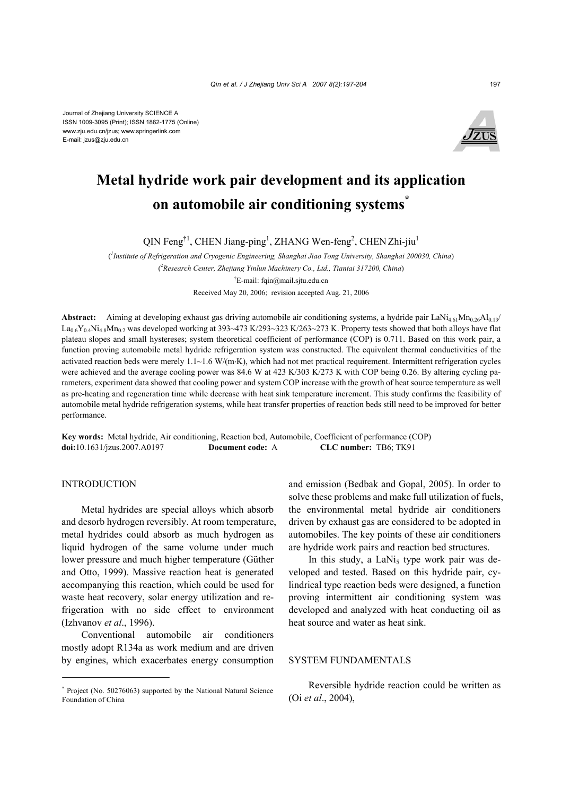

# **Metal hydride work pair development and its application on automobile air conditioning systems\***

QIN Feng<sup>†1</sup>, CHEN Jiang-ping<sup>1</sup>, ZHANG Wen-feng<sup>2</sup>, CHEN Zhi-jiu<sup>1</sup>

( *1 Institute of Refrigeration and Cryogenic Engineering, Shanghai Jiao Tong University, Shanghai 200030, China*) ( 2 *Research Center, Zhejiang Yinlun Machinery Co., Ltd., Tiantai 317200, China*) † E-mail: fqin@mail.sjtu.edu.cn Received May 20, 2006; revision accepted Aug. 21, 2006

Abstract: Aiming at developing exhaust gas driving automobile air conditioning systems, a hydride pair LaNi<sub>4.61</sub>Mn<sub>0.26</sub>Al<sub>0.13</sub>/  $La<sub>0.6</sub>Y<sub>0.4</sub>Ni<sub>4.8</sub>Mn<sub>0.2</sub>$  was developed working at 393~473 K/293~323 K/263~273 K. Property tests showed that both alloys have flat plateau slopes and small hystereses; system theoretical coefficient of performance (COP) is 0.711. Based on this work pair, a function proving automobile metal hydride refrigeration system was constructed. The equivalent thermal conductivities of the activated reaction beds were merely 1.1~1.6 W/(m⋅K), which had not met practical requirement. Intermittent refrigeration cycles were achieved and the average cooling power was 84.6 W at 423 K/303 K/273 K with COP being 0.26. By altering cycling parameters, experiment data showed that cooling power and system COP increase with the growth of heat source temperature as well as pre-heating and regeneration time while decrease with heat sink temperature increment. This study confirms the feasibility of automobile metal hydride refrigeration systems, while heat transfer properties of reaction beds still need to be improved for better performance.

**Key words:** Metal hydride, Air conditioning, Reaction bed, Automobile, Coefficient of performance (COP) **doi:**10.1631/jzus.2007.A0197 **Document code:** A **CLC number:** TB6; TK91

# INTRODUCTION

Metal hydrides are special alloys which absorb and desorb hydrogen reversibly. At room temperature, metal hydrides could absorb as much hydrogen as liquid hydrogen of the same volume under much lower pressure and much higher temperature (Güther and Otto, 1999). Massive reaction heat is generated accompanying this reaction, which could be used for waste heat recovery, solar energy utilization and refrigeration with no side effect to environment (Izhvanov *et al*., 1996).

Conventional automobile air conditioners mostly adopt R134a as work medium and are driven by engines, which exacerbates energy consumption and emission (Bedbak and Gopal, 2005). In order to solve these problems and make full utilization of fuels, the environmental metal hydride air conditioners driven by exhaust gas are considered to be adopted in automobiles. The key points of these air conditioners are hydride work pairs and reaction bed structures.

In this study, a LaNi<sub>5</sub> type work pair was developed and tested. Based on this hydride pair, cylindrical type reaction beds were designed, a function proving intermittent air conditioning system was developed and analyzed with heat conducting oil as heat source and water as heat sink.

# SYSTEM FUNDAMENTALS

Reversible hydride reaction could be written as (Oi *et al*., 2004),

<sup>\*</sup> Project (No. 50276063) supported by the National Natural Science Foundation of China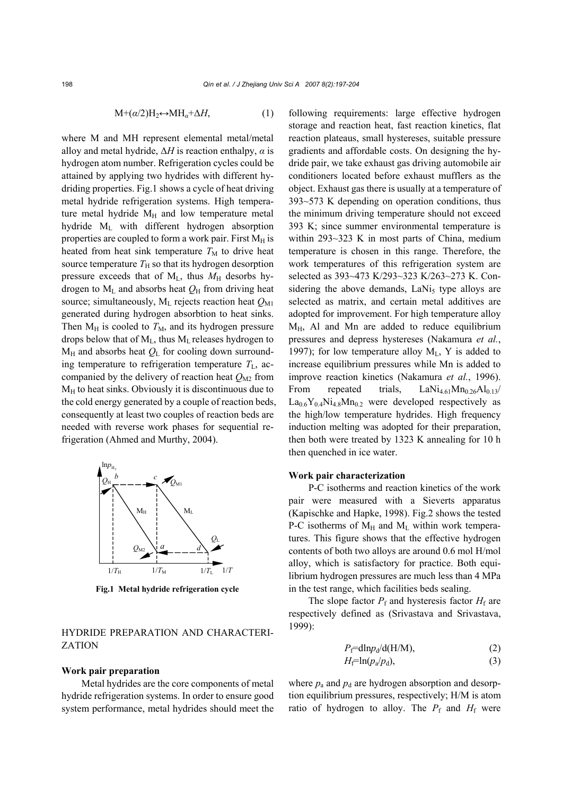$$
M + (\alpha/2)H_2 \leftrightarrow MH_{\alpha} + \Delta H, \tag{1}
$$

where M and MH represent elemental metal/metal alloy and metal hydride, ∆*H* is reaction enthalpy, *α* is hydrogen atom number. Refrigeration cycles could be attained by applying two hydrides with different hydriding properties. Fig.1 shows a cycle of heat driving metal hydride refrigeration systems. High temperature metal hydride  $M_H$  and low temperature metal hydride ML with different hydrogen absorption properties are coupled to form a work pair. First  $M_H$  is heated from heat sink temperature  $T_M$  to drive heat source temperature  $T_H$  so that its hydrogen desorption pressure exceeds that of  $M_L$ , thus  $M_H$  desorbs hydrogen to  $M_L$  and absorbs heat  $Q_H$  from driving heat source; simultaneously,  $M<sub>L</sub>$  rejects reaction heat  $Q<sub>M1</sub>$ generated during hydrogen absorbtion to heat sinks. Then  $M_H$  is cooled to  $T_M$ , and its hydrogen pressure drops below that of  $M<sub>L</sub>$ , thus  $M<sub>L</sub>$  releases hydrogen to  $M_H$  and absorbs heat  $Q_L$  for cooling down surrounding temperature to refrigeration temperature  $T_L$ , accompanied by the delivery of reaction heat  $Q_{\text{M2}}$  from  $M_H$  to heat sinks. Obviously it is discontinuous due to the cold energy generated by a couple of reaction beds, consequently at least two couples of reaction beds are needed with reverse work phases for sequential refrigeration (Ahmed and Murthy, 2004).



**Fig.1 Metal hydride refrigeration cycle** 

# HYDRIDE PREPARATION AND CHARACTERI-**ZATION**

### **Work pair preparation**

Metal hydrides are the core components of metal hydride refrigeration systems. In order to ensure good system performance, metal hydrides should meet the following requirements: large effective hydrogen storage and reaction heat, fast reaction kinetics, flat reaction plateaus, small hystereses, suitable pressure gradients and affordable costs. On designing the hydride pair, we take exhaust gas driving automobile air conditioners located before exhaust mufflers as the object. Exhaust gas there is usually at a temperature of 393~573 K depending on operation conditions, thus the minimum driving temperature should not exceed 393 K; since summer environmental temperature is within 293~323 K in most parts of China, medium temperature is chosen in this range. Therefore, the work temperatures of this refrigeration system are selected as 393~473 K/293~323 K/263~273 K. Considering the above demands,  $LaNi<sub>5</sub>$  type alloys are selected as matrix, and certain metal additives are adopted for improvement. For high temperature alloy  $M_H$ , Al and Mn are added to reduce equilibrium pressures and depress hystereses (Nakamura *et al.*, 1997); for low temperature alloy  $M_{L}$ , Y is added to increase equilibrium pressures while Mn is added to improve reaction kinetics (Nakamura *et al.*, 1996). From repeated trials,  $\text{LANi}_{4.61}\text{Mn}_{0.26}\text{Al}_{0.13}/$  $La<sub>0.6</sub>Y<sub>0.4</sub>Ni<sub>4.8</sub>Mn<sub>0.2</sub>$  were developed respectively as the high/low temperature hydrides. High frequency induction melting was adopted for their preparation, then both were treated by 1323 K annealing for 10 h then quenched in ice water.

#### **Work pair characterization**

P-C isotherms and reaction kinetics of the work pair were measured with a Sieverts apparatus (Kapischke and Hapke, 1998). Fig.2 shows the tested P-C isotherms of  $M_H$  and  $M_L$  within work temperatures. This figure shows that the effective hydrogen contents of both two alloys are around 0.6 mol H/mol alloy, which is satisfactory for practice. Both equilibrium hydrogen pressures are much less than 4 MPa in the test range, which facilities beds sealing.

The slope factor  $P_f$  and hysteresis factor  $H_f$  are respectively defined as (Srivastava and Srivastava, 1999):

$$
P_{\rm f} = \text{dln}p_{\rm d} / \text{d}(\text{H/M}),\tag{2}
$$

$$
H_{\rm f} = \ln(p_{\rm a}/p_{\rm d}),\tag{3}
$$

where  $p_a$  and  $p_d$  are hydrogen absorption and desorption equilibrium pressures, respectively; H/M is atom ratio of hydrogen to alloy. The  $P_f$  and  $H_f$  were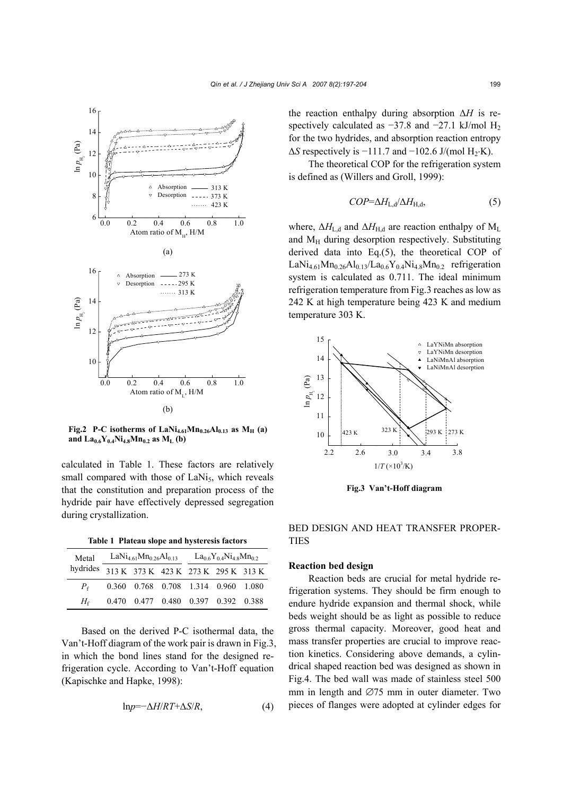

**Fig.2** P-C isotherms of  $\text{LANi}_{4.61}\text{Mn}_{0.26}\text{Al}_{0.13}$  as  $\text{M}_{\text{H}}$  (a) and  $La_{0.6}Y_{0.4}Ni_{4.8}Mn_{0.2}$  as  $M_L$  (b)

calculated in Table 1. These factors are relatively small compared with those of  $LaNi<sub>5</sub>$ , which reveals that the constitution and preparation process of the hydride pair have effectively depressed segregation during crystallization.

**Table 1 Plateau slope and hysteresis factors** 

| Metal<br>hydrides 313 K 373 K 423 K 273 K 295 K 313 K | LaNi <sub>4.61</sub> Mn <sub>0.26</sub> Al <sub>0.13</sub> |                                     |  | $La_06Y0.4Ni4$ <sub>8</sub> Mn <sub>02</sub> |  |  |
|-------------------------------------------------------|------------------------------------------------------------|-------------------------------------|--|----------------------------------------------|--|--|
|                                                       |                                                            |                                     |  |                                              |  |  |
| $P_{\epsilon}$                                        |                                                            | 0.360 0.768 0.708 1.314 0.960 1.080 |  |                                              |  |  |
| $H_{\mathcal{E}}$                                     |                                                            | 0.470 0.477 0.480 0.397 0.392 0.388 |  |                                              |  |  |

Based on the derived P-C isothermal data, the Van't-Hoff diagram of the work pair is drawn in Fig.3, in which the bond lines stand for the designed refrigeration cycle. According to Van't-Hoff equation (Kapischke and Hapke, 1998):

$$
lnp = -\Delta H / RT + \Delta S / R, \qquad (4)
$$

the reaction enthalpy during absorption ∆*H* is respectively calculated as  $-37.8$  and  $-27.1$  kJ/mol H<sub>2</sub> for the two hydrides, and absorption reaction entropy  $\Delta S$  respectively is  $-111.7$  and  $-102.6$  J/(mol H<sub>2</sub>⋅K).

The theoretical COP for the refrigeration system is defined as (Willers and Groll, 1999):

$$
COP = \Delta H_{L,d} / \Delta H_{H,d},\tag{5}
$$

where,  $\Delta H_{\text{L,d}}$  and  $\Delta H_{\text{H,d}}$  are reaction enthalpy of M<sub>L</sub> and M<sub>H</sub> during desorption respectively. Substituting derived data into Eq.(5), the theoretical COP of  $LaNi_{4.61}Mn_{0.26}Al_{0.13}/La_{0.6}Y_{0.4}Ni_{4.8}Mn_{0.2}$  refrigeration system is calculated as 0.711. The ideal minimum refrigeration temperature from Fig.3 reaches as low as 242 K at high temperature being 423 K and medium temperature 303 K.



**Fig.3 Van't-Hoff diagram**

BED DESIGN AND HEAT TRANSFER PROPER-TIES

## **Reaction bed design**

Reaction beds are crucial for metal hydride refrigeration systems. They should be firm enough to endure hydride expansion and thermal shock, while beds weight should be as light as possible to reduce gross thermal capacity. Moreover, good heat and mass transfer properties are crucial to improve reaction kinetics. Considering above demands, a cylindrical shaped reaction bed was designed as shown in Fig.4. The bed wall was made of stainless steel 500 mm in length and ∅75 mm in outer diameter. Two pieces of flanges were adopted at cylinder edges for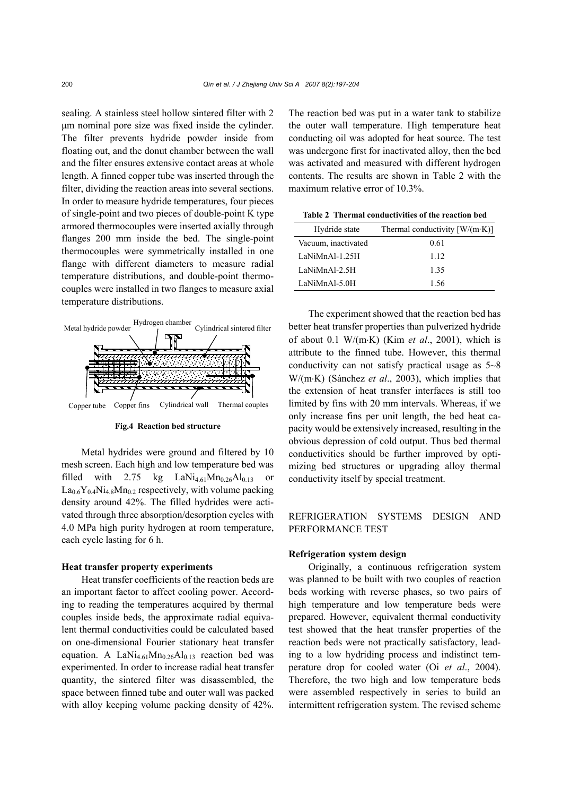sealing. A stainless steel hollow sintered filter with 2 µm nominal pore size was fixed inside the cylinder. The filter prevents hydride powder inside from floating out, and the donut chamber between the wall and the filter ensures extensive contact areas at whole length. A finned copper tube was inserted through the filter, dividing the reaction areas into several sections. In order to measure hydride temperatures, four pieces of single-point and two pieces of double-point K type armored thermocouples were inserted axially through flanges 200 mm inside the bed. The single-point thermocouples were symmetrically installed in one flange with different diameters to measure radial temperature distributions, and double-point thermocouples were installed in two flanges to measure axial temperature distributions.



**Fig.4 Reaction bed structure** 

Metal hydrides were ground and filtered by 10 mesh screen. Each high and low temperature bed was filled with 2.75 kg  $\text{LaNi}_{4.61}\text{Mn}_{0.26}\text{Al}_{0.13}$  or  $La_{0.6}Y_{0.4}Ni_{4.8}Mn_{0.2}$  respectively, with volume packing density around 42%. The filled hydrides were activated through three absorption/desorption cycles with 4.0 MPa high purity hydrogen at room temperature, each cycle lasting for 6 h.

## **Heat transfer property experiments**

Heat transfer coefficients of the reaction beds are an important factor to affect cooling power. According to reading the temperatures acquired by thermal couples inside beds, the approximate radial equivalent thermal conductivities could be calculated based on one-dimensional Fourier stationary heat transfer equation. A La $\text{Ni}_{4.61}\text{Mn}_{0.26}\text{Al}_{0.13}$  reaction bed was experimented. In order to increase radial heat transfer quantity, the sintered filter was disassembled, the space between finned tube and outer wall was packed with alloy keeping volume packing density of 42%.

The reaction bed was put in a water tank to stabilize the outer wall temperature. High temperature heat conducting oil was adopted for heat source. The test was undergone first for inactivated alloy, then the bed was activated and measured with different hydrogen contents. The results are shown in Table 2 with the maximum relative error of 10.3%.

**Table 2 Thermal conductivities of the reaction bed** 

| Hydride state       | Thermal conductivity $[W/(m \cdot K)]$ |
|---------------------|----------------------------------------|
| Vacuum, inactivated | 0.61                                   |
| LaNiMnAl-1.25H      | 1 1 2                                  |
| LaNiMnAl-2.5H       | 135                                    |
| LaNiMnAl-5.0H       | 1.56                                   |

The experiment showed that the reaction bed has better heat transfer properties than pulverized hydride of about 0.1 W/(m⋅K) (Kim *et al*., 2001), which is attribute to the finned tube. However, this thermal conductivity can not satisfy practical usage as 5~8 W/(m⋅K) (Sánchez *et al.*, 2003), which implies that the extension of heat transfer interfaces is still too limited by fins with 20 mm intervals. Whereas, if we only increase fins per unit length, the bed heat capacity would be extensively increased, resulting in the obvious depression of cold output. Thus bed thermal conductivities should be further improved by optimizing bed structures or upgrading alloy thermal conductivity itself by special treatment.

# REFRIGERATION SYSTEMS DESIGN AND PERFORMANCE TEST

# **Refrigeration system design**

Originally, a continuous refrigeration system was planned to be built with two couples of reaction beds working with reverse phases, so two pairs of high temperature and low temperature beds were prepared. However, equivalent thermal conductivity test showed that the heat transfer properties of the reaction beds were not practically satisfactory, leading to a low hydriding process and indistinct temperature drop for cooled water (Oi *et al*., 2004). Therefore, the two high and low temperature beds were assembled respectively in series to build an intermittent refrigeration system. The revised scheme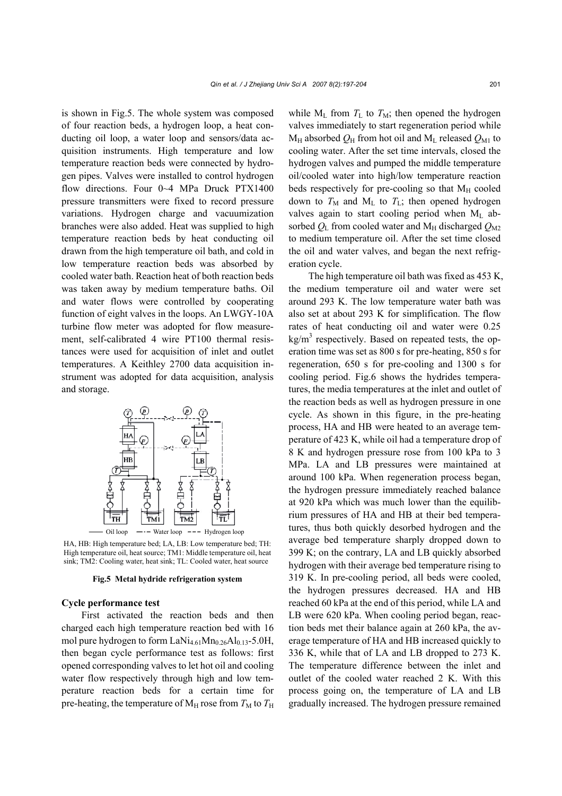is shown in Fig.5. The whole system was composed of four reaction beds, a hydrogen loop, a heat conducting oil loop, a water loop and sensors/data acquisition instruments. High temperature and low temperature reaction beds were connected by hydrogen pipes. Valves were installed to control hydrogen flow directions. Four 0~4 MPa Druck PTX1400 pressure transmitters were fixed to record pressure variations. Hydrogen charge and vacuumization branches were also added. Heat was supplied to high temperature reaction beds by heat conducting oil drawn from the high temperature oil bath, and cold in low temperature reaction beds was absorbed by cooled water bath. Reaction heat of both reaction beds was taken away by medium temperature baths. Oil and water flows were controlled by cooperating function of eight valves in the loops. An LWGY-10A turbine flow meter was adopted for flow measurement, self-calibrated 4 wire PT100 thermal resistances were used for acquisition of inlet and outlet temperatures. A Keithley 2700 data acquisition instrument was adopted for data acquisition, analysis and storage.



HA, HB: High temperature bed; LA, LB: Low temperature bed; TH: High temperature oil, heat source; TM1: Middle temperature oil, heat sink; TM2: Cooling water, heat sink; TL: Cooled water, heat source

#### **Fig.5 Metal hydride refrigeration system**

## **Cycle performance test**

First activated the reaction beds and then charged each high temperature reaction bed with 16 mol pure hydrogen to form  $LaNi<sub>4.61</sub>Mn<sub>0.26</sub>Al<sub>0.13</sub> - 5.0H$ , then began cycle performance test as follows: first opened corresponding valves to let hot oil and cooling water flow respectively through high and low temperature reaction beds for a certain time for pre-heating, the temperature of  $M_H$  rose from  $T_M$  to  $T_H$  while  $M_L$  from  $T_L$  to  $T_M$ ; then opened the hydrogen valves immediately to start regeneration period while  $M_H$  absorbed  $Q_H$  from hot oil and  $M_L$  released  $Q_{M1}$  to cooling water. After the set time intervals, closed the hydrogen valves and pumped the middle temperature oil/cooled water into high/low temperature reaction beds respectively for pre-cooling so that  $M_H$  cooled down to  $T_M$  and  $M_L$  to  $T_L$ ; then opened hydrogen valves again to start cooling period when  $M<sub>L</sub>$  absorbed  $Q_L$  from cooled water and M<sub>H</sub> discharged  $Q_{M2}$ to medium temperature oil. After the set time closed the oil and water valves, and began the next refrigeration cycle.

The high temperature oil bath was fixed as 453 K, the medium temperature oil and water were set around 293 K. The low temperature water bath was also set at about 293 K for simplification. The flow rates of heat conducting oil and water were 0.25  $\text{kg/m}^3$  respectively. Based on repeated tests, the operation time was set as 800 s for pre-heating, 850 s for regeneration, 650 s for pre-cooling and 1300 s for cooling period. Fig.6 shows the hydrides temperatures, the media temperatures at the inlet and outlet of the reaction beds as well as hydrogen pressure in one cycle. As shown in this figure, in the pre-heating process, HA and HB were heated to an average temperature of 423 K, while oil had a temperature drop of 8 K and hydrogen pressure rose from 100 kPa to 3 MPa. LA and LB pressures were maintained at around 100 kPa. When regeneration process began, the hydrogen pressure immediately reached balance at 920 kPa which was much lower than the equilibrium pressures of HA and HB at their bed temperatures, thus both quickly desorbed hydrogen and the average bed temperature sharply dropped down to 399 K; on the contrary, LA and LB quickly absorbed hydrogen with their average bed temperature rising to 319 K. In pre-cooling period, all beds were cooled, the hydrogen pressures decreased. HA and HB reached 60 kPa at the end of this period, while LA and LB were 620 kPa. When cooling period began, reaction beds met their balance again at 260 kPa, the average temperature of HA and HB increased quickly to 336 K, while that of LA and LB dropped to 273 K. The temperature difference between the inlet and outlet of the cooled water reached 2 K. With this process going on, the temperature of LA and LB gradually increased. The hydrogen pressure remained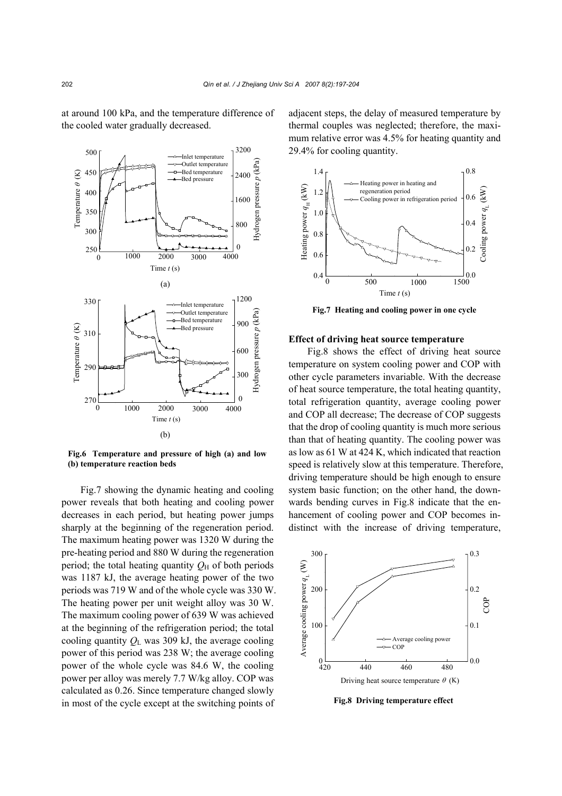at around 100 kPa, and the temperature difference of the cooled water gradually decreased.



**Fig.6 Temperature and pressure of high (a) and low (b) temperature reaction beds** 

Fig.7 showing the dynamic heating and cooling power reveals that both heating and cooling power decreases in each period, but heating power jumps sharply at the beginning of the regeneration period. The maximum heating power was 1320 W during the pre-heating period and 880 W during the regeneration period; the total heating quantity  $O_{\text{H}}$  of both periods was 1187 kJ, the average heating power of the two periods was 719 W and of the whole cycle was 330 W. The heating power per unit weight alloy was 30 W. The maximum cooling power of 639 W was achieved at the beginning of the refrigeration period; the total cooling quantity  $Q_L$  was 309 kJ, the average cooling power of this period was 238 W; the average cooling power of the whole cycle was 84.6 W, the cooling power per alloy was merely 7.7 W/kg alloy. COP was calculated as 0.26. Since temperature changed slowly in most of the cycle except at the switching points of

adjacent steps, the delay of measured temperature by thermal couples was neglected; therefore, the maximum relative error was 4.5% for heating quantity and 29.4% for cooling quantity.



**Fig.7 Heating and cooling power in one cycle** 

#### **Effect of driving heat source temperature**

Fig.8 shows the effect of driving heat source temperature on system cooling power and COP with other cycle parameters invariable. With the decrease of heat source temperature, the total heating quantity, total refrigeration quantity, average cooling power and COP all decrease; The decrease of COP suggests that the drop of cooling quantity is much more serious than that of heating quantity. The cooling power was as low as 61 W at 424 K, which indicated that reaction speed is relatively slow at this temperature. Therefore, driving temperature should be high enough to ensure system basic function; on the other hand, the downwards bending curves in Fig.8 indicate that the enhancement of cooling power and COP becomes indistinct with the increase of driving temperature,



**Fig.8 Driving temperature effect**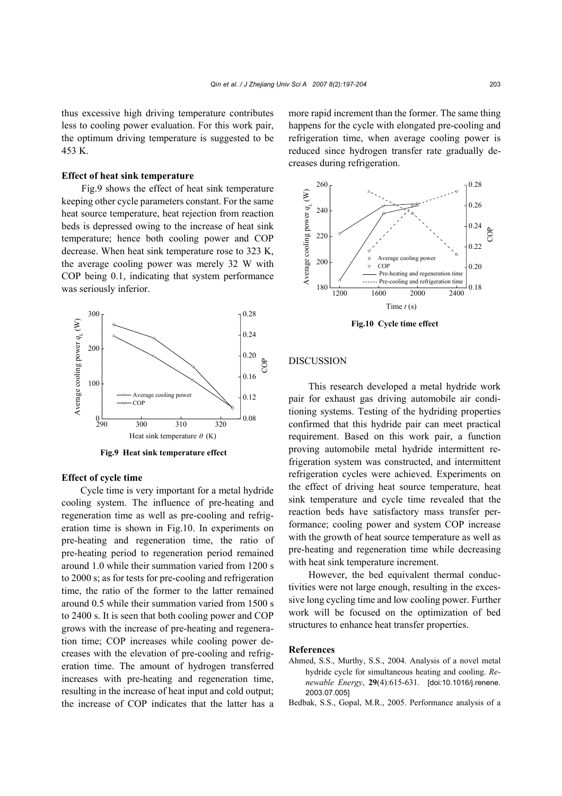# **Effect of heat sink temperature**

Fig.9 shows the effect of heat sink temperature keeping other cycle parameters constant. For the same heat source temperature, heat rejection from reaction beds is depressed owing to the increase of heat sink temperature; hence both cooling power and COP decrease. When heat sink temperature rose to 323 K, the average cooling power was merely 32 W with COP being 0.1, indicating that system performance was seriously inferior.



**Fig.9 Heat sink temperature effect** 

## **Effect of cycle time**

Cycle time is very important for a metal hydride cooling system. The influence of pre-heating and regeneration time as well as pre-cooling and refrigeration time is shown in Fig.10. In experiments on pre-heating and regeneration time, the ratio of pre-heating period to regeneration period remained around 1.0 while their summation varied from 1200 s to 2000 s; as for tests for pre-cooling and refrigeration time, the ratio of the former to the latter remained around 0.5 while their summation varied from 1500 s to 2400 s. It is seen that both cooling power and COP grows with the increase of pre-heating and regeneration time; COP increases while cooling power decreases with the elevation of pre-cooling and refrigeration time. The amount of hydrogen transferred increases with pre-heating and regeneration time, resulting in the increase of heat input and cold output; the increase of COP indicates that the latter has a

more rapid increment than the former. The same thing happens for the cycle with elongated pre-cooling and refrigeration time, when average cooling power is reduced since hydrogen transfer rate gradually decreases during refrigeration.



**Fig.10 Cycle time effect** 

### DISCUSSION

This research developed a metal hydride work pair for exhaust gas driving automobile air conditioning systems. Testing of the hydriding properties confirmed that this hydride pair can meet practical requirement. Based on this work pair, a function proving automobile metal hydride intermittent refrigeration system was constructed, and intermittent refrigeration cycles were achieved. Experiments on the effect of driving heat source temperature, heat sink temperature and cycle time revealed that the reaction beds have satisfactory mass transfer performance; cooling power and system COP increase with the growth of heat source temperature as well as pre-heating and regeneration time while decreasing with heat sink temperature increment.

However, the bed equivalent thermal conductivities were not large enough, resulting in the excessive long cycling time and low cooling power. Further work will be focused on the optimization of bed structures to enhance heat transfer properties.

## **References**

- Ahmed, S.S., Murthy, S.S., 2004. Analysis of a novel metal hydride cycle for simultaneous heating and cooling. *Renewable Energy*, **29**(4):615-631. [doi:10.1016/j.renene. 2003.07.005]
- Bedbak, S.S., Gopal, M.R., 2005. Performance analysis of a